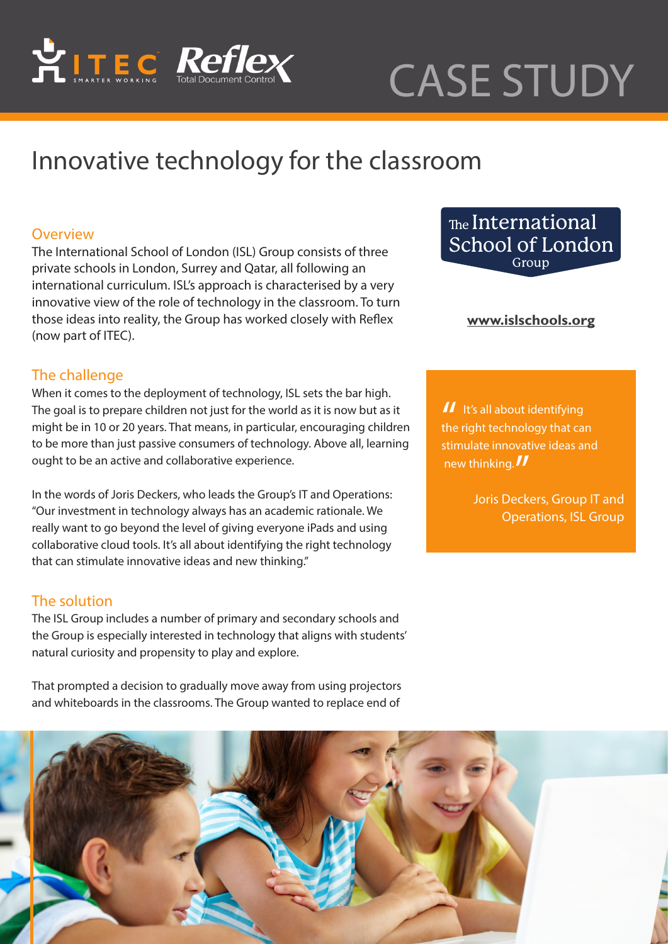

# CASE STUDY

# Innovative technology for the classroom

## **Overview**

The [International School of London \(ISL\) Group](www.islschools.org) consists of three private schools in London, Surrey and Qatar, all following an international curriculum. ISL's approach is characterised by a very innovative view of the role of technology in the classroom. To turn those ideas into reality, the Group has worked closely with Reflex (now part of ITEC).

# The challenge

When it comes to the deployment of technology, ISL sets the bar high. The goal is to prepare children not just for the world as it is now but as it might be in 10 or 20 years. That means, in particular, encouraging children to be more than just passive consumers of technology. Above all, learning ought to be an active and collaborative experience.

In the words of Joris Deckers, who leads the Group's IT and Operations: "Our investment in technology always has an academic rationale. We really want to go beyond the level of giving everyone iPads and using collaborative cloud tools. It's all about identifying the right technology that can stimulate innovative ideas and new thinking."

#### The solution

The ISL Group includes a number of primary and secondary schools and the Group is especially interested in technology that aligns with students' natural curiosity and propensity to play and explore.

That prompted a decision to gradually move away from using projectors and whiteboards in the classrooms. The Group wanted to replace end of

The International School of London Group

#### **<www.islschools.org>**

 $\blacksquare$  It's all about identifying<br>the right technology that can stimulate innovative ideas and new thinking.

Joris Deckers, Group IT and Operations, ISL Group